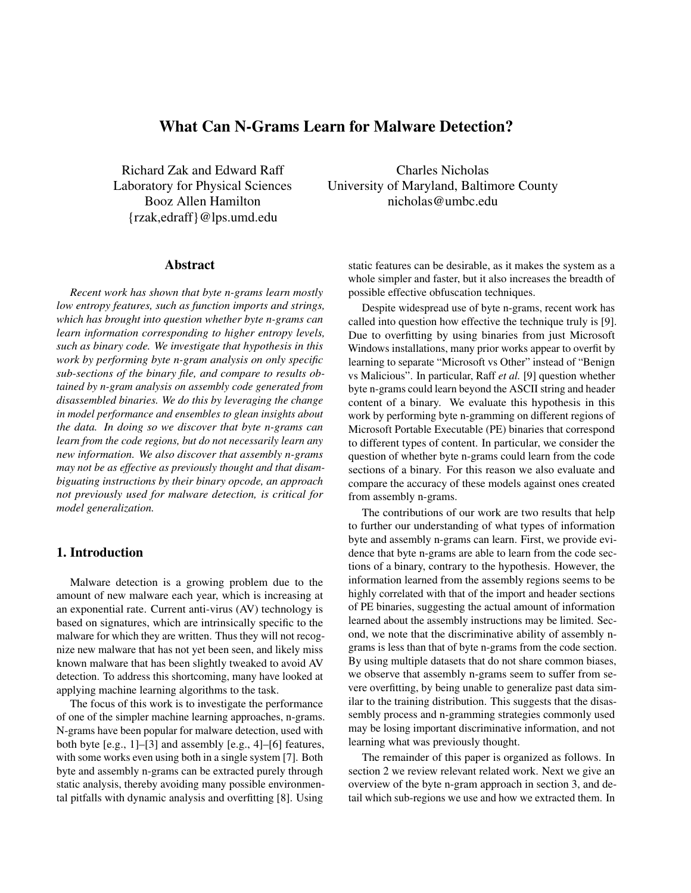# What Can N-Grams Learn for Malware Detection?

Richard Zak and Edward Raff Laboratory for Physical Sciences Booz Allen Hamilton {rzak,edraff}@lps.umd.edu

#### Abstract

*Recent work has shown that byte n-grams learn mostly low entropy features, such as function imports and strings, which has brought into question whether byte n-grams can learn information corresponding to higher entropy levels, such as binary code. We investigate that hypothesis in this work by performing byte n-gram analysis on only specific sub-sections of the binary file, and compare to results obtained by n-gram analysis on assembly code generated from disassembled binaries. We do this by leveraging the change in model performance and ensembles to glean insights about the data. In doing so we discover that byte n-grams can learn from the code regions, but do not necessarily learn any new information. We also discover that assembly n-grams may not be as effective as previously thought and that disambiguating instructions by their binary opcode, an approach not previously used for malware detection, is critical for model generalization.*

# 1. Introduction

Malware detection is a growing problem due to the amount of new malware each year, which is increasing at an exponential rate. Current anti-virus (AV) technology is based on signatures, which are intrinsically specific to the malware for which they are written. Thus they will not recognize new malware that has not yet been seen, and likely miss known malware that has been slightly tweaked to avoid AV detection. To address this shortcoming, many have looked at applying machine learning algorithms to the task.

The focus of this work is to investigate the performance of one of the simpler machine learning approaches, n-grams. N-grams have been popular for malware detection, used with both byte [e.g., 1]–[3] and assembly [e.g., 4]–[6] features, with some works even using both in a single system [7]. Both byte and assembly n-grams can be extracted purely through static analysis, thereby avoiding many possible environmental pitfalls with dynamic analysis and overfitting [8]. Using

Charles Nicholas University of Maryland, Baltimore County nicholas@umbc.edu

static features can be desirable, as it makes the system as a whole simpler and faster, but it also increases the breadth of possible effective obfuscation techniques.

Despite widespread use of byte n-grams, recent work has called into question how effective the technique truly is [9]. Due to overfitting by using binaries from just Microsoft Windows installations, many prior works appear to overfit by learning to separate "Microsoft vs Other" instead of "Benign vs Malicious". In particular, Raff *et al.* [9] question whether byte n-grams could learn beyond the ASCII string and header content of a binary. We evaluate this hypothesis in this work by performing byte n-gramming on different regions of Microsoft Portable Executable (PE) binaries that correspond to different types of content. In particular, we consider the question of whether byte n-grams could learn from the code sections of a binary. For this reason we also evaluate and compare the accuracy of these models against ones created from assembly n-grams.

The contributions of our work are two results that help to further our understanding of what types of information byte and assembly n-grams can learn. First, we provide evidence that byte n-grams are able to learn from the code sections of a binary, contrary to the hypothesis. However, the information learned from the assembly regions seems to be highly correlated with that of the import and header sections of PE binaries, suggesting the actual amount of information learned about the assembly instructions may be limited. Second, we note that the discriminative ability of assembly ngrams is less than that of byte n-grams from the code section. By using multiple datasets that do not share common biases, we observe that assembly n-grams seem to suffer from severe overfitting, by being unable to generalize past data similar to the training distribution. This suggests that the disassembly process and n-gramming strategies commonly used may be losing important discriminative information, and not learning what was previously thought.

The remainder of this paper is organized as follows. In section 2 we review relevant related work. Next we give an overview of the byte n-gram approach in section 3, and detail which sub-regions we use and how we extracted them. In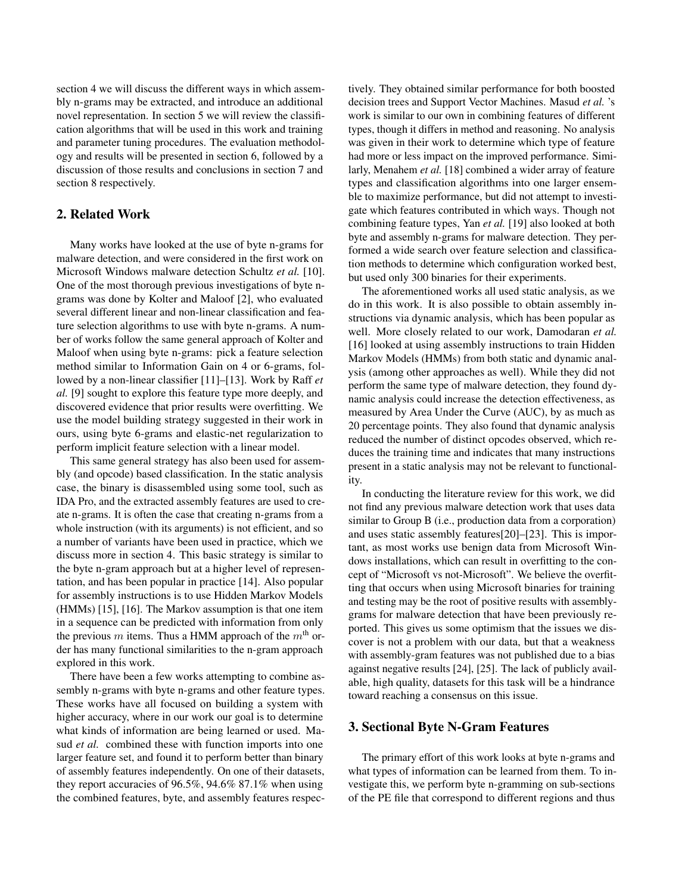section 4 we will discuss the different ways in which assembly n-grams may be extracted, and introduce an additional novel representation. In section 5 we will review the classification algorithms that will be used in this work and training and parameter tuning procedures. The evaluation methodology and results will be presented in section 6, followed by a discussion of those results and conclusions in section 7 and section 8 respectively.

# 2. Related Work

Many works have looked at the use of byte n-grams for malware detection, and were considered in the first work on Microsoft Windows malware detection Schultz *et al.* [10]. One of the most thorough previous investigations of byte ngrams was done by Kolter and Maloof [2], who evaluated several different linear and non-linear classification and feature selection algorithms to use with byte n-grams. A number of works follow the same general approach of Kolter and Maloof when using byte n-grams: pick a feature selection method similar to Information Gain on 4 or 6-grams, followed by a non-linear classifier [11]–[13]. Work by Raff *et al.* [9] sought to explore this feature type more deeply, and discovered evidence that prior results were overfitting. We use the model building strategy suggested in their work in ours, using byte 6-grams and elastic-net regularization to perform implicit feature selection with a linear model.

This same general strategy has also been used for assembly (and opcode) based classification. In the static analysis case, the binary is disassembled using some tool, such as IDA Pro, and the extracted assembly features are used to create n-grams. It is often the case that creating n-grams from a whole instruction (with its arguments) is not efficient, and so a number of variants have been used in practice, which we discuss more in section 4. This basic strategy is similar to the byte n-gram approach but at a higher level of representation, and has been popular in practice [14]. Also popular for assembly instructions is to use Hidden Markov Models (HMMs) [15], [16]. The Markov assumption is that one item in a sequence can be predicted with information from only the previous m items. Thus a HMM approach of the  $m^{\text{th}}$  order has many functional similarities to the n-gram approach explored in this work.

There have been a few works attempting to combine assembly n-grams with byte n-grams and other feature types. These works have all focused on building a system with higher accuracy, where in our work our goal is to determine what kinds of information are being learned or used. Masud *et al.* combined these with function imports into one larger feature set, and found it to perform better than binary of assembly features independently. On one of their datasets, they report accuracies of 96.5%, 94.6% 87.1% when using the combined features, byte, and assembly features respectively. They obtained similar performance for both boosted decision trees and Support Vector Machines. Masud *et al.* 's work is similar to our own in combining features of different types, though it differs in method and reasoning. No analysis was given in their work to determine which type of feature had more or less impact on the improved performance. Similarly, Menahem *et al.* [18] combined a wider array of feature types and classification algorithms into one larger ensemble to maximize performance, but did not attempt to investigate which features contributed in which ways. Though not combining feature types, Yan *et al.* [19] also looked at both byte and assembly n-grams for malware detection. They performed a wide search over feature selection and classification methods to determine which configuration worked best, but used only 300 binaries for their experiments.

The aforementioned works all used static analysis, as we do in this work. It is also possible to obtain assembly instructions via dynamic analysis, which has been popular as well. More closely related to our work, Damodaran *et al.* [16] looked at using assembly instructions to train Hidden Markov Models (HMMs) from both static and dynamic analysis (among other approaches as well). While they did not perform the same type of malware detection, they found dynamic analysis could increase the detection effectiveness, as measured by Area Under the Curve (AUC), by as much as 20 percentage points. They also found that dynamic analysis reduced the number of distinct opcodes observed, which reduces the training time and indicates that many instructions present in a static analysis may not be relevant to functionality.

In conducting the literature review for this work, we did not find any previous malware detection work that uses data similar to Group B (i.e., production data from a corporation) and uses static assembly features[20]–[23]. This is important, as most works use benign data from Microsoft Windows installations, which can result in overfitting to the concept of "Microsoft vs not-Microsoft". We believe the overfitting that occurs when using Microsoft binaries for training and testing may be the root of positive results with assemblygrams for malware detection that have been previously reported. This gives us some optimism that the issues we discover is not a problem with our data, but that a weakness with assembly-gram features was not published due to a bias against negative results [24], [25]. The lack of publicly available, high quality, datasets for this task will be a hindrance toward reaching a consensus on this issue.

# 3. Sectional Byte N-Gram Features

The primary effort of this work looks at byte n-grams and what types of information can be learned from them. To investigate this, we perform byte n-gramming on sub-sections of the PE file that correspond to different regions and thus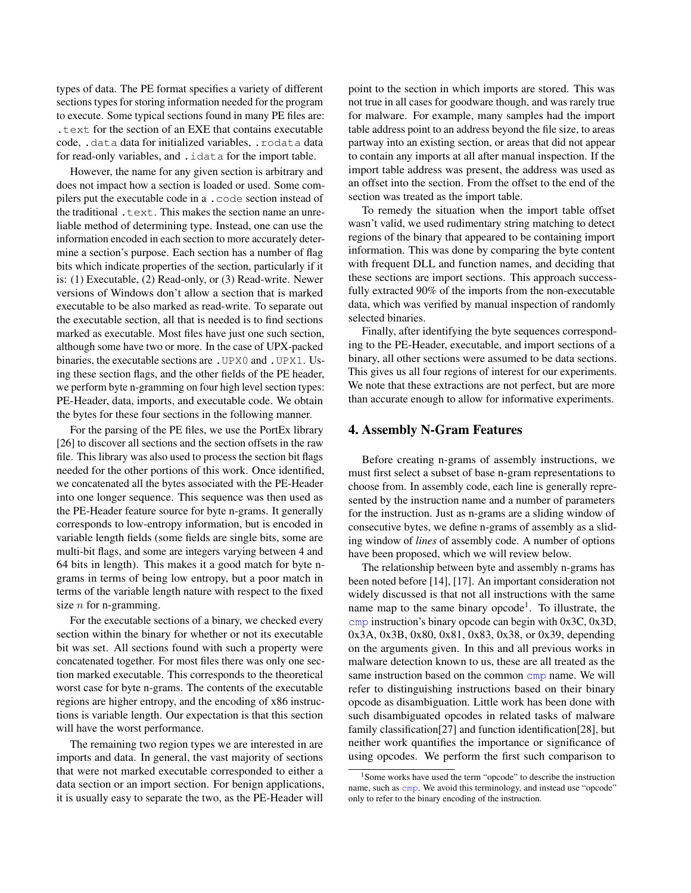types of data. The PE format specifies a variety of different sections types for storing information needed for the program to execute. Some typical sections found in many PE files are: .text for the section of an EXE that contains executable code, .data data for initialized variables, .rodata data for read-only variables, and .idata for the import table.

However, the name for any given section is arbitrary and does not impact how a section is loaded or used. Some compilers put the executable code in a .code section instead of the traditional .text. This makes the section name an unreliable method of determining type. Instead, one can use the information encoded in each section to more accurately determine a section's purpose. Each section has a number of flag bits which indicate properties of the section, particularly if it is: (1) Executable, (2) Read-only, or (3) Read-write. Newer versions of Windows don't allow a section that is marked executable to be also marked as read-write. To separate out the executable section, all that is needed is to find sections marked as executable. Most files have just one such section, although some have two or more. In the case of UPX-packed binaries, the executable sections are . UPX0 and . UPX1. Using these section flags, and the other fields of the PE header, we perform byte n-gramming on four high level section types: PE-Header, data, imports, and executable code. We obtain the bytes for these four sections in the following manner.

For the parsing of the PE files, we use the PortEx library [26] to discover all sections and the section offsets in the raw file. This library was also used to process the section bit flags needed for the other portions of this work. Once identified, we concatenated all the bytes associated with the PE-Header into one longer sequence. This sequence was then used as the PE-Header feature source for byte n-grams. It generally corresponds to low-entropy information, but is encoded in variable length fields (some fields are single bits, some are multi-bit flags, and some are integers varying between 4 and 64 bits in length). This makes it a good match for byte ngrams in terms of being low entropy, but a poor match in terms of the variable length nature with respect to the fixed size  $n$  for n-gramming.

For the executable sections of a binary, we checked every section within the binary for whether or not its executable bit was set. All sections found with such a property were concatenated together. For most files there was only one section marked executable. This corresponds to the theoretical worst case for byte n-grams. The contents of the executable regions are higher entropy, and the encoding of x86 instructions is variable length. Our expectation is that this section will have the worst performance.

The remaining two region types we are interested in are imports and data. In general, the vast majority of sections that were not marked executable corresponded to either a data section or an import section. For benign applications, it is usually easy to separate the two, as the PE-Header will point to the section in which imports are stored. This was not true in all cases for goodware though, and was rarely true for malware. For example, many samples had the import table address point to an address beyond the file size, to areas partway into an existing section, or areas that did not appear to contain any imports at all after manual inspection. If the import table address was present, the address was used as an offset into the section. From the offset to the end of the section was treated as the import table.

To remedy the situation when the import table offset wasn't valid, we used rudimentary string matching to detect regions of the binary that appeared to be containing import information. This was done by comparing the byte content with frequent DLL and function names, and deciding that these sections are import sections. This approach successfully extracted 90% of the imports from the non-executable data, which was verified by manual inspection of randomly selected binaries.

Finally, after identifying the byte sequences corresponding to the PE-Header, executable, and import sections of a binary, all other sections were assumed to be data sections. This gives us all four regions of interest for our experiments. We note that these extractions are not perfect, but are more than accurate enough to allow for informative experiments.

#### 4. Assembly N-Gram Features

Before creating n-grams of assembly instructions, we must first select a subset of base n-gram representations to choose from. In assembly code, each line is generally represented by the instruction name and a number of parameters for the instruction. Just as n-grams are a sliding window of consecutive bytes, we define n-grams of assembly as a sliding window of *lines* of assembly code. A number of options have been proposed, which we will review below.

The relationship between byte and assembly n-grams has been noted before [14], [17]. An important consideration not widely discussed is that not all instructions with the same name map to the same binary opcode<sup>1</sup>. To illustrate, the cmp instruction's binary opcode can begin with 0x3C, 0x3D, 0x3A, 0x3B, 0x80, 0x81, 0x83, 0x38, or 0x39, depending on the arguments given. In this and all previous works in malware detection known to us, these are all treated as the same instruction based on the common cmp name. We will refer to distinguishing instructions based on their binary opcode as disambiguation. Little work has been done with such disambiguated opcodes in related tasks of malware family classification[27] and function identification[28], but neither work quantifies the importance or significance of using opcodes. We perform the first such comparison to

<sup>1</sup>Some works have used the term "opcode" to describe the instruction name, such as cmp. We avoid this terminology, and instead use "opcode" only to refer to the binary encoding of the instruction.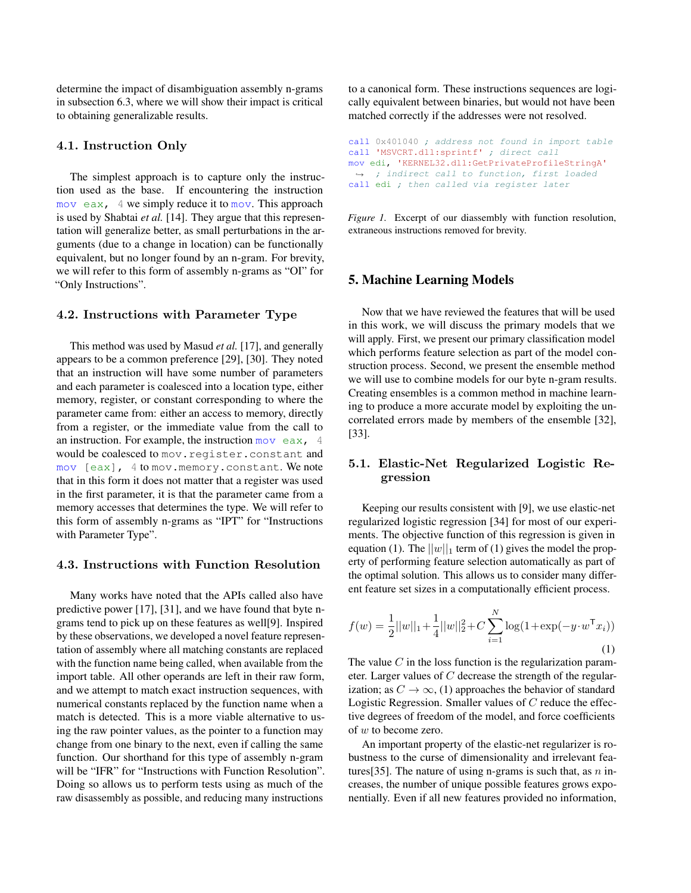determine the impact of disambiguation assembly n-grams in subsection 6.3, where we will show their impact is critical to obtaining generalizable results.

#### 4.1. Instruction Only

The simplest approach is to capture only the instruction used as the base. If encountering the instruction mov eax, 4 we simply reduce it to mov. This approach is used by Shabtai *et al.* [14]. They argue that this representation will generalize better, as small perturbations in the arguments (due to a change in location) can be functionally equivalent, but no longer found by an n-gram. For brevity, we will refer to this form of assembly n-grams as "OI" for "Only Instructions".

#### 4.2. Instructions with Parameter Type

This method was used by Masud *et al.* [17], and generally appears to be a common preference [29], [30]. They noted that an instruction will have some number of parameters and each parameter is coalesced into a location type, either memory, register, or constant corresponding to where the parameter came from: either an access to memory, directly from a register, or the immediate value from the call to an instruction. For example, the instruction mov eax,  $4$ would be coalesced to mov.register.constant and mov [eax], 4 to mov.memory.constant. We note that in this form it does not matter that a register was used in the first parameter, it is that the parameter came from a memory accesses that determines the type. We will refer to this form of assembly n-grams as "IPT" for "Instructions with Parameter Type".

#### 4.3. Instructions with Function Resolution

Many works have noted that the APIs called also have predictive power [17], [31], and we have found that byte ngrams tend to pick up on these features as well[9]. Inspired by these observations, we developed a novel feature representation of assembly where all matching constants are replaced with the function name being called, when available from the import table. All other operands are left in their raw form, and we attempt to match exact instruction sequences, with numerical constants replaced by the function name when a match is detected. This is a more viable alternative to using the raw pointer values, as the pointer to a function may change from one binary to the next, even if calling the same function. Our shorthand for this type of assembly n-gram will be "IFR" for "Instructions with Function Resolution". Doing so allows us to perform tests using as much of the raw disassembly as possible, and reducing many instructions

to a canonical form. These instructions sequences are logically equivalent between binaries, but would not have been matched correctly if the addresses were not resolved.

```
call 0x401040 ; address not found in import table
call 'MSVCRT.dll:sprintf' ; direct call
mov edi, 'KERNEL32.dll:GetPrivateProfileStringA'
,→ ; indirect call to function, first loaded
call edi ; then called via register later
```
*Figure 1.* Excerpt of our diassembly with function resolution, extraneous instructions removed for brevity.

# 5. Machine Learning Models

Now that we have reviewed the features that will be used in this work, we will discuss the primary models that we will apply. First, we present our primary classification model which performs feature selection as part of the model construction process. Second, we present the ensemble method we will use to combine models for our byte n-gram results. Creating ensembles is a common method in machine learning to produce a more accurate model by exploiting the uncorrelated errors made by members of the ensemble [32], [33].

# 5.1. Elastic-Net Regularized Logistic Regression

Keeping our results consistent with [9], we use elastic-net regularized logistic regression [34] for most of our experiments. The objective function of this regression is given in equation (1). The  $||w||_1$  term of (1) gives the model the property of performing feature selection automatically as part of the optimal solution. This allows us to consider many different feature set sizes in a computationally efficient process.

$$
f(w) = \frac{1}{2}||w||_1 + \frac{1}{4}||w||_2^2 + C\sum_{i=1}^{N}\log(1 + \exp(-y \cdot w^{\mathsf{T}} x_i))
$$
\n(1)

The value  $C$  in the loss function is the regularization parameter. Larger values of  $C$  decrease the strength of the regularization; as  $C \to \infty$ , (1) approaches the behavior of standard Logistic Regression. Smaller values of  $C$  reduce the effective degrees of freedom of the model, and force coefficients of w to become zero.

An important property of the elastic-net regularizer is robustness to the curse of dimensionality and irrelevant features[35]. The nature of using n-grams is such that, as  $n$  increases, the number of unique possible features grows exponentially. Even if all new features provided no information,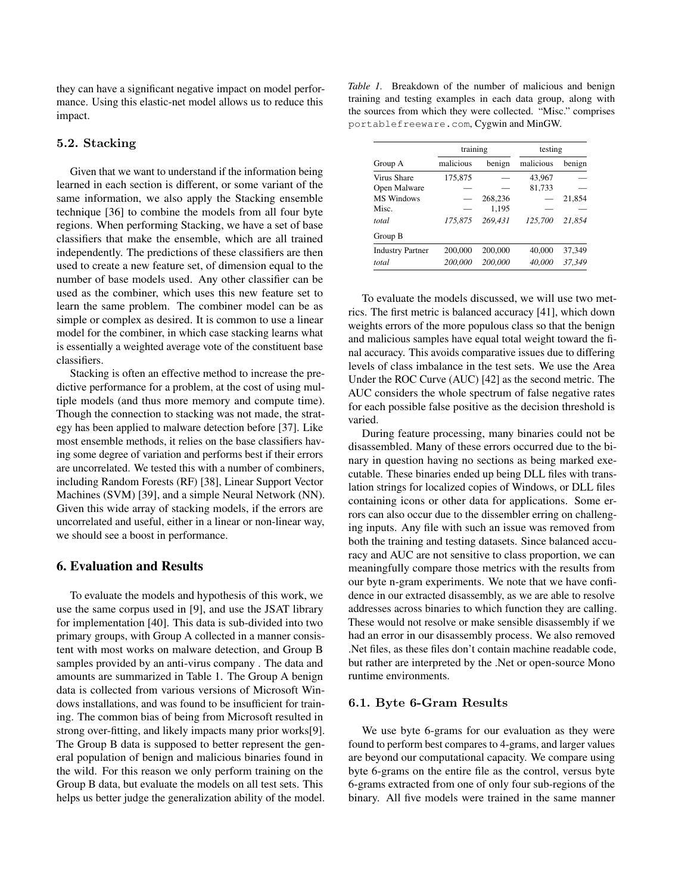they can have a significant negative impact on model performance. Using this elastic-net model allows us to reduce this impact.

#### 5.2. Stacking

Given that we want to understand if the information being learned in each section is different, or some variant of the same information, we also apply the Stacking ensemble technique [36] to combine the models from all four byte regions. When performing Stacking, we have a set of base classifiers that make the ensemble, which are all trained independently. The predictions of these classifiers are then used to create a new feature set, of dimension equal to the number of base models used. Any other classifier can be used as the combiner, which uses this new feature set to learn the same problem. The combiner model can be as simple or complex as desired. It is common to use a linear model for the combiner, in which case stacking learns what is essentially a weighted average vote of the constituent base classifiers.

Stacking is often an effective method to increase the predictive performance for a problem, at the cost of using multiple models (and thus more memory and compute time). Though the connection to stacking was not made, the strategy has been applied to malware detection before [37]. Like most ensemble methods, it relies on the base classifiers having some degree of variation and performs best if their errors are uncorrelated. We tested this with a number of combiners, including Random Forests (RF) [38], Linear Support Vector Machines (SVM) [39], and a simple Neural Network (NN). Given this wide array of stacking models, if the errors are uncorrelated and useful, either in a linear or non-linear way, we should see a boost in performance.

## 6. Evaluation and Results

To evaluate the models and hypothesis of this work, we use the same corpus used in [9], and use the JSAT library for implementation [40]. This data is sub-divided into two primary groups, with Group A collected in a manner consistent with most works on malware detection, and Group B samples provided by an anti-virus company . The data and amounts are summarized in Table 1. The Group A benign data is collected from various versions of Microsoft Windows installations, and was found to be insufficient for training. The common bias of being from Microsoft resulted in strong over-fitting, and likely impacts many prior works[9]. The Group B data is supposed to better represent the general population of benign and malicious binaries found in the wild. For this reason we only perform training on the Group B data, but evaluate the models on all test sets. This helps us better judge the generalization ability of the model.

*Table 1.* Breakdown of the number of malicious and benign training and testing examples in each data group, along with the sources from which they were collected. "Misc." comprises portablefreeware.com, Cygwin and MinGW.

|                         | training  |         | testing   |        |  |
|-------------------------|-----------|---------|-----------|--------|--|
| Group A                 | malicious | benign  | malicious | benign |  |
| Virus Share             | 175,875   |         | 43,967    |        |  |
| Open Malware            |           |         | 81,733    |        |  |
| <b>MS Windows</b>       |           | 268,236 |           | 21,854 |  |
| Misc.                   |           | 1,195   |           |        |  |
| total                   | 175.875   | 269,431 | 125,700   | 21.854 |  |
| Group B                 |           |         |           |        |  |
| <b>Industry Partner</b> | 200,000   | 200,000 | 40,000    | 37.349 |  |
| total                   | 200,000   | 200,000 | 40,000    | 37,349 |  |

To evaluate the models discussed, we will use two metrics. The first metric is balanced accuracy [41], which down weights errors of the more populous class so that the benign and malicious samples have equal total weight toward the final accuracy. This avoids comparative issues due to differing levels of class imbalance in the test sets. We use the Area Under the ROC Curve (AUC) [42] as the second metric. The AUC considers the whole spectrum of false negative rates for each possible false positive as the decision threshold is varied.

During feature processing, many binaries could not be disassembled. Many of these errors occurred due to the binary in question having no sections as being marked executable. These binaries ended up being DLL files with translation strings for localized copies of Windows, or DLL files containing icons or other data for applications. Some errors can also occur due to the dissembler erring on challenging inputs. Any file with such an issue was removed from both the training and testing datasets. Since balanced accuracy and AUC are not sensitive to class proportion, we can meaningfully compare those metrics with the results from our byte n-gram experiments. We note that we have confidence in our extracted disassembly, as we are able to resolve addresses across binaries to which function they are calling. These would not resolve or make sensible disassembly if we had an error in our disassembly process. We also removed .Net files, as these files don't contain machine readable code, but rather are interpreted by the .Net or open-source Mono runtime environments.

#### 6.1. Byte 6-Gram Results

We use byte 6-grams for our evaluation as they were found to perform best compares to 4-grams, and larger values are beyond our computational capacity. We compare using byte 6-grams on the entire file as the control, versus byte 6-grams extracted from one of only four sub-regions of the binary. All five models were trained in the same manner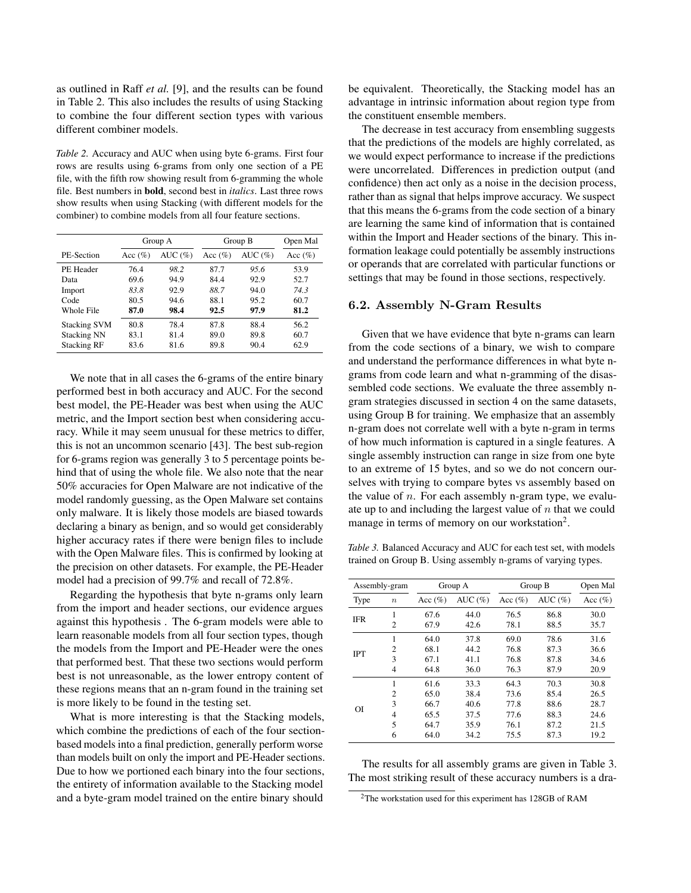as outlined in Raff *et al.* [9], and the results can be found in Table 2. This also includes the results of using Stacking to combine the four different section types with various different combiner models.

*Table 2.* Accuracy and AUC when using byte 6-grams. First four rows are results using 6-grams from only one section of a PE file, with the fifth row showing result from 6-gramming the whole file. Best numbers in bold, second best in *italics*. Last three rows show results when using Stacking (with different models for the combiner) to combine models from all four feature sections.

|                     | Group A    |             | Group B     | Open Mal   |             |
|---------------------|------------|-------------|-------------|------------|-------------|
| PE-Section          | Acc $(\%)$ | AUC $(\% )$ | Acc $(\% )$ | AUC $(\%)$ | Acc $(\% )$ |
| PE Header           | 76.4       | 98.2        | 87.7        | 95.6       | 53.9        |
| Data                | 69.6       | 94.9        | 84.4        | 92.9       | 52.7        |
| Import              | 83.8       | 92.9        | 88.7        | 94.0       | 74.3        |
| Code                | 80.5       | 94.6        | 88.1        | 95.2       | 60.7        |
| Whole File          | 87.0       | 98.4        | 92.5        | 97.9       | 81.2        |
| <b>Stacking SVM</b> | 80.8       | 78.4        | 87.8        | 88.4       | 56.2        |
| <b>Stacking NN</b>  | 83.1       | 81.4        | 89.0        | 89.8       | 60.7        |
| <b>Stacking RF</b>  | 83.6       | 81.6        | 89.8        | 90.4       | 62.9        |

We note that in all cases the 6-grams of the entire binary performed best in both accuracy and AUC. For the second best model, the PE-Header was best when using the AUC metric, and the Import section best when considering accuracy. While it may seem unusual for these metrics to differ, this is not an uncommon scenario [43]. The best sub-region for 6-grams region was generally 3 to 5 percentage points behind that of using the whole file. We also note that the near 50% accuracies for Open Malware are not indicative of the model randomly guessing, as the Open Malware set contains only malware. It is likely those models are biased towards declaring a binary as benign, and so would get considerably higher accuracy rates if there were benign files to include with the Open Malware files. This is confirmed by looking at the precision on other datasets. For example, the PE-Header model had a precision of 99.7% and recall of 72.8%.

Regarding the hypothesis that byte n-grams only learn from the import and header sections, our evidence argues against this hypothesis . The 6-gram models were able to learn reasonable models from all four section types, though the models from the Import and PE-Header were the ones that performed best. That these two sections would perform best is not unreasonable, as the lower entropy content of these regions means that an n-gram found in the training set is more likely to be found in the testing set.

What is more interesting is that the Stacking models, which combine the predictions of each of the four sectionbased models into a final prediction, generally perform worse than models built on only the import and PE-Header sections. Due to how we portioned each binary into the four sections, the entirety of information available to the Stacking model and a byte-gram model trained on the entire binary should

be equivalent. Theoretically, the Stacking model has an advantage in intrinsic information about region type from the constituent ensemble members.

The decrease in test accuracy from ensembling suggests that the predictions of the models are highly correlated, as we would expect performance to increase if the predictions were uncorrelated. Differences in prediction output (and confidence) then act only as a noise in the decision process, rather than as signal that helps improve accuracy. We suspect that this means the 6-grams from the code section of a binary are learning the same kind of information that is contained within the Import and Header sections of the binary. This information leakage could potentially be assembly instructions or operands that are correlated with particular functions or settings that may be found in those sections, respectively.

#### 6.2. Assembly N-Gram Results

Given that we have evidence that byte n-grams can learn from the code sections of a binary, we wish to compare and understand the performance differences in what byte ngrams from code learn and what n-gramming of the disassembled code sections. We evaluate the three assembly ngram strategies discussed in section 4 on the same datasets, using Group B for training. We emphasize that an assembly n-gram does not correlate well with a byte n-gram in terms of how much information is captured in a single features. A single assembly instruction can range in size from one byte to an extreme of 15 bytes, and so we do not concern ourselves with trying to compare bytes vs assembly based on the value of  $n$ . For each assembly n-gram type, we evaluate up to and including the largest value of  $n$  that we could manage in terms of memory on our workstation<sup>2</sup>.

*Table 3.* Balanced Accuracy and AUC for each test set, with models trained on Group B. Using assembly n-grams of varying types.

|            | Assembly-gram    |             | Group A     |             | Group B    |             |
|------------|------------------|-------------|-------------|-------------|------------|-------------|
| Type       | $\boldsymbol{n}$ | Acc $(\% )$ | AUC $(\% )$ | Acc $(\% )$ | AUC $(\%)$ | Acc $(\% )$ |
| <b>IFR</b> | 1                | 67.6        | 44.0        | 76.5        | 86.8       | 30.0        |
|            | $\overline{c}$   | 67.9        | 42.6        | 78.1        | 88.5       | 35.7        |
| <b>IPT</b> | 1                | 64.0        | 37.8        | 69.0        | 78.6       | 31.6        |
|            | $\overline{c}$   | 68.1        | 44.2        | 76.8        | 87.3       | 36.6        |
|            | 3                | 67.1        | 41.1        | 76.8        | 87.8       | 34.6        |
|            | $\overline{4}$   | 64.8        | 36.0        | 76.3        | 87.9       | 20.9        |
| ΟI         | 1                | 61.6        | 33.3        | 64.3        | 70.3       | 30.8        |
|            | $\overline{c}$   | 65.0        | 38.4        | 73.6        | 85.4       | 26.5        |
|            | 3                | 66.7        | 40.6        | 77.8        | 88.6       | 28.7        |
|            | $\overline{4}$   | 65.5        | 37.5        | 77.6        | 88.3       | 24.6        |
|            | 5                | 64.7        | 35.9        | 76.1        | 87.2       | 21.5        |
|            | 6                | 64.0        | 34.2        | 75.5        | 87.3       | 19.2        |

The results for all assembly grams are given in Table 3. The most striking result of these accuracy numbers is a dra-

<sup>2</sup>The workstation used for this experiment has 128GB of RAM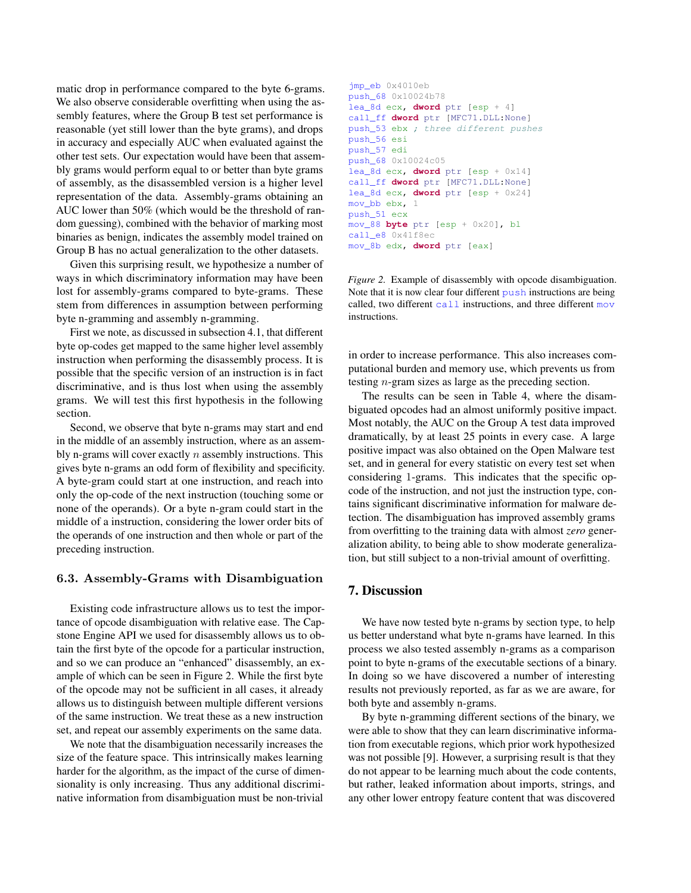matic drop in performance compared to the byte 6-grams. We also observe considerable overfitting when using the assembly features, where the Group B test set performance is reasonable (yet still lower than the byte grams), and drops in accuracy and especially AUC when evaluated against the other test sets. Our expectation would have been that assembly grams would perform equal to or better than byte grams of assembly, as the disassembled version is a higher level representation of the data. Assembly-grams obtaining an AUC lower than 50% (which would be the threshold of random guessing), combined with the behavior of marking most binaries as benign, indicates the assembly model trained on Group B has no actual generalization to the other datasets.

Given this surprising result, we hypothesize a number of ways in which discriminatory information may have been lost for assembly-grams compared to byte-grams. These stem from differences in assumption between performing byte n-gramming and assembly n-gramming.

First we note, as discussed in subsection 4.1, that different byte op-codes get mapped to the same higher level assembly instruction when performing the disassembly process. It is possible that the specific version of an instruction is in fact discriminative, and is thus lost when using the assembly grams. We will test this first hypothesis in the following section.

Second, we observe that byte n-grams may start and end in the middle of an assembly instruction, where as an assembly n-grams will cover exactly  $n$  assembly instructions. This gives byte n-grams an odd form of flexibility and specificity. A byte-gram could start at one instruction, and reach into only the op-code of the next instruction (touching some or none of the operands). Or a byte n-gram could start in the middle of a instruction, considering the lower order bits of the operands of one instruction and then whole or part of the preceding instruction.

#### 6.3. Assembly-Grams with Disambiguation

Existing code infrastructure allows us to test the importance of opcode disambiguation with relative ease. The Capstone Engine API we used for disassembly allows us to obtain the first byte of the opcode for a particular instruction, and so we can produce an "enhanced" disassembly, an example of which can be seen in Figure 2. While the first byte of the opcode may not be sufficient in all cases, it already allows us to distinguish between multiple different versions of the same instruction. We treat these as a new instruction set, and repeat our assembly experiments on the same data.

We note that the disambiguation necessarily increases the size of the feature space. This intrinsically makes learning harder for the algorithm, as the impact of the curse of dimensionality is only increasing. Thus any additional discriminative information from disambiguation must be non-trivial

```
jmp_eb 0x4010eb
push_68 0x10024b78
lea_8d ecx, dword ptr [esp + 4]
call_ff dword ptr [MFC71.DLL:None]
push 53 ebx ; three different pushes
push_56 esi
push_57 edi
push_68 0x10024c05
lea_8d ecx, dword ptr [esp + 0x14]
call_ff dword ptr [MFC71.DLL:None]
lea_8d ecx, dword ptr [esp + 0x24]
mov_bb ebx, 1
push_51 ecx
mov_88 byte ptr [esp + 0x20], bl
call_e8 0x41f8ec
mov_8b edx, dword ptr [eax]
```
*Figure 2.* Example of disassembly with opcode disambiguation. Note that it is now clear four different push instructions are being called, two different call instructions, and three different mov instructions.

in order to increase performance. This also increases computational burden and memory use, which prevents us from testing n-gram sizes as large as the preceding section.

The results can be seen in Table 4, where the disambiguated opcodes had an almost uniformly positive impact. Most notably, the AUC on the Group A test data improved dramatically, by at least 25 points in every case. A large positive impact was also obtained on the Open Malware test set, and in general for every statistic on every test set when considering 1-grams. This indicates that the specific opcode of the instruction, and not just the instruction type, contains significant discriminative information for malware detection. The disambiguation has improved assembly grams from overfitting to the training data with almost *zero* generalization ability, to being able to show moderate generalization, but still subject to a non-trivial amount of overfitting.

# 7. Discussion

We have now tested byte n-grams by section type, to help us better understand what byte n-grams have learned. In this process we also tested assembly n-grams as a comparison point to byte n-grams of the executable sections of a binary. In doing so we have discovered a number of interesting results not previously reported, as far as we are aware, for both byte and assembly n-grams.

By byte n-gramming different sections of the binary, we were able to show that they can learn discriminative information from executable regions, which prior work hypothesized was not possible [9]. However, a surprising result is that they do not appear to be learning much about the code contents, but rather, leaked information about imports, strings, and any other lower entropy feature content that was discovered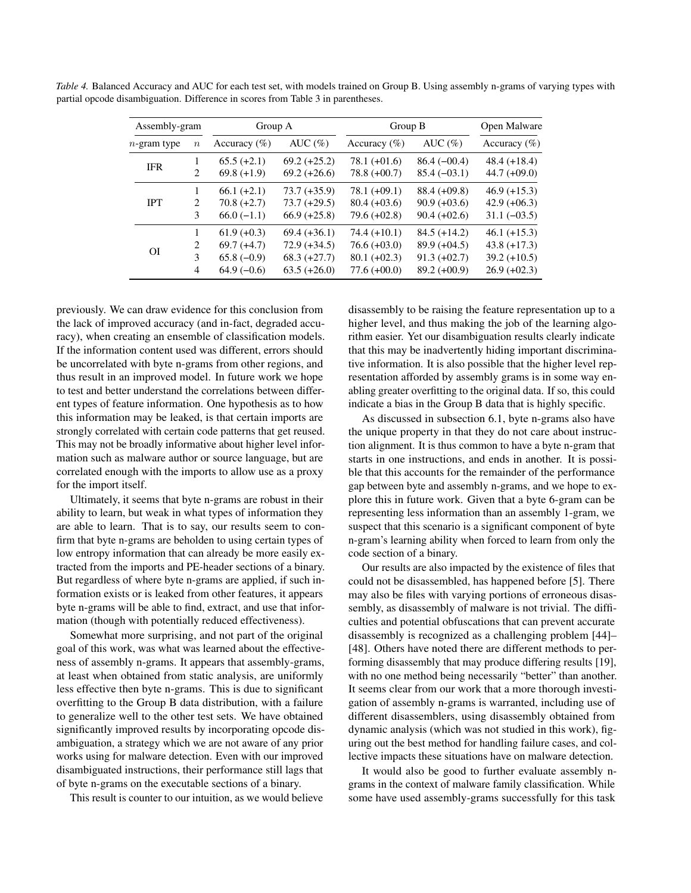| Assembly-gram  |                             | Group A          |                | Group B          |                | Open Malware     |  |
|----------------|-----------------------------|------------------|----------------|------------------|----------------|------------------|--|
| $n$ -gram type | $\boldsymbol{n}$            | Accuracy $(\% )$ | AUC $(\%)$     | Accuracy $(\% )$ | AUC $(\% )$    | Accuracy $(\% )$ |  |
| <b>IFR</b>     | 1                           | $65.5 (+2.1)$    | $69.2 (+25.2)$ | $78.1 (+01.6)$   | $86.4(-00.4)$  | $48.4 (+18.4)$   |  |
|                | $\mathcal{D}_{\mathcal{L}}$ | $69.8 (+1.9)$    | $69.2 (+26.6)$ | $78.8 (+00.7)$   | $85.4(-03.1)$  | $44.7 (+09.0)$   |  |
| <b>IPT</b>     |                             | $66.1 (+2.1)$    | $73.7 (+35.9)$ | $78.1 (+09.1)$   | $88.4 (+09.8)$ | $46.9 (+15.3)$   |  |
|                | 2                           | $70.8 (+2.7)$    | $73.7 (+29.5)$ | $80.4 (+03.6)$   | $90.9 (+03.6)$ | $42.9 (+06.3)$   |  |
|                | 3                           | $66.0(-1.1)$     | $66.9 (+25.8)$ | $79.6 (+02.8)$   | $90.4 (+02.6)$ | $31.1(-03.5)$    |  |
| <b>OI</b>      |                             | $61.9 (+0.3)$    | $69.4 (+36.1)$ | $74.4 (+10.1)$   | $84.5 (+14.2)$ | $46.1 (+15.3)$   |  |
|                | 2                           | $69.7 (+4.7)$    | $72.9 (+34.5)$ | $76.6 (+03.0)$   | $89.9 (+04.5)$ | $43.8 (+17.3)$   |  |
|                | 3                           | $65.8(-0.9)$     | $68.3 (+27.7)$ | $80.1 (+02.3)$   | $91.3 (+02.7)$ | $39.2 (+10.5)$   |  |
|                | $\overline{4}$              | $64.9(-0.6)$     | $63.5 (+26.0)$ | $77.6 (+00.0)$   | $89.2 (+00.9)$ | $26.9 (+02.3)$   |  |

*Table 4.* Balanced Accuracy and AUC for each test set, with models trained on Group B. Using assembly n-grams of varying types with partial opcode disambiguation. Difference in scores from Table 3 in parentheses.

previously. We can draw evidence for this conclusion from the lack of improved accuracy (and in-fact, degraded accuracy), when creating an ensemble of classification models. If the information content used was different, errors should be uncorrelated with byte n-grams from other regions, and thus result in an improved model. In future work we hope to test and better understand the correlations between different types of feature information. One hypothesis as to how this information may be leaked, is that certain imports are strongly correlated with certain code patterns that get reused. This may not be broadly informative about higher level information such as malware author or source language, but are correlated enough with the imports to allow use as a proxy for the import itself.

Ultimately, it seems that byte n-grams are robust in their ability to learn, but weak in what types of information they are able to learn. That is to say, our results seem to confirm that byte n-grams are beholden to using certain types of low entropy information that can already be more easily extracted from the imports and PE-header sections of a binary. But regardless of where byte n-grams are applied, if such information exists or is leaked from other features, it appears byte n-grams will be able to find, extract, and use that information (though with potentially reduced effectiveness).

Somewhat more surprising, and not part of the original goal of this work, was what was learned about the effectiveness of assembly n-grams. It appears that assembly-grams, at least when obtained from static analysis, are uniformly less effective then byte n-grams. This is due to significant overfitting to the Group B data distribution, with a failure to generalize well to the other test sets. We have obtained significantly improved results by incorporating opcode disambiguation, a strategy which we are not aware of any prior works using for malware detection. Even with our improved disambiguated instructions, their performance still lags that of byte n-grams on the executable sections of a binary.

This result is counter to our intuition, as we would believe

disassembly to be raising the feature representation up to a higher level, and thus making the job of the learning algorithm easier. Yet our disambiguation results clearly indicate that this may be inadvertently hiding important discriminative information. It is also possible that the higher level representation afforded by assembly grams is in some way enabling greater overfitting to the original data. If so, this could indicate a bias in the Group B data that is highly specific.

As discussed in subsection 6.1, byte n-grams also have the unique property in that they do not care about instruction alignment. It is thus common to have a byte n-gram that starts in one instructions, and ends in another. It is possible that this accounts for the remainder of the performance gap between byte and assembly n-grams, and we hope to explore this in future work. Given that a byte 6-gram can be representing less information than an assembly 1-gram, we suspect that this scenario is a significant component of byte n-gram's learning ability when forced to learn from only the code section of a binary.

Our results are also impacted by the existence of files that could not be disassembled, has happened before [5]. There may also be files with varying portions of erroneous disassembly, as disassembly of malware is not trivial. The difficulties and potential obfuscations that can prevent accurate disassembly is recognized as a challenging problem [44]– [48]. Others have noted there are different methods to performing disassembly that may produce differing results [19], with no one method being necessarily "better" than another. It seems clear from our work that a more thorough investigation of assembly n-grams is warranted, including use of different disassemblers, using disassembly obtained from dynamic analysis (which was not studied in this work), figuring out the best method for handling failure cases, and collective impacts these situations have on malware detection.

It would also be good to further evaluate assembly ngrams in the context of malware family classification. While some have used assembly-grams successfully for this task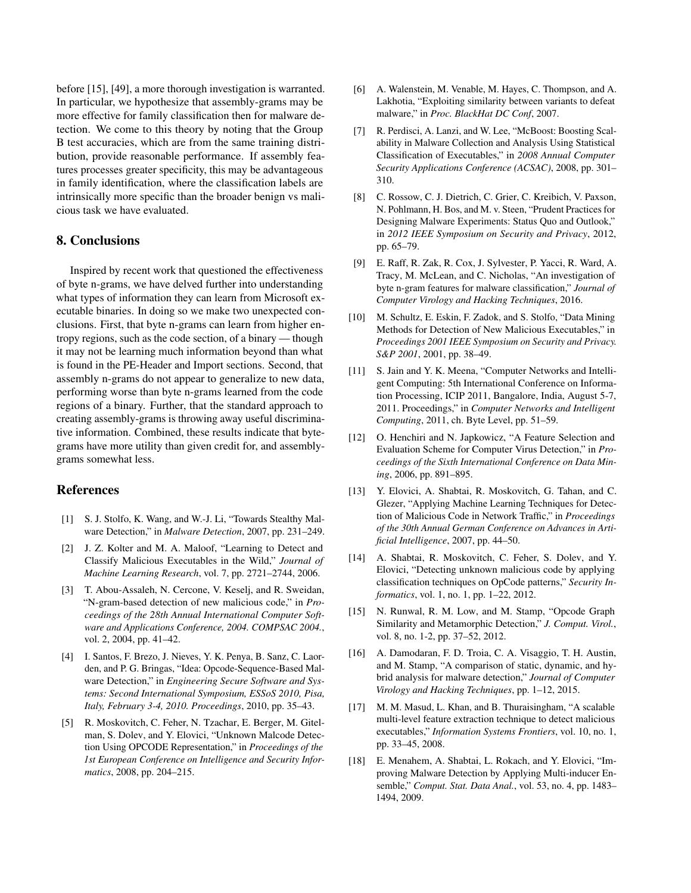before [15], [49], a more thorough investigation is warranted. In particular, we hypothesize that assembly-grams may be more effective for family classification then for malware detection. We come to this theory by noting that the Group B test accuracies, which are from the same training distribution, provide reasonable performance. If assembly features processes greater specificity, this may be advantageous in family identification, where the classification labels are intrinsically more specific than the broader benign vs malicious task we have evaluated.

# 8. Conclusions

Inspired by recent work that questioned the effectiveness of byte n-grams, we have delved further into understanding what types of information they can learn from Microsoft executable binaries. In doing so we make two unexpected conclusions. First, that byte n-grams can learn from higher entropy regions, such as the code section, of a binary — though it may not be learning much information beyond than what is found in the PE-Header and Import sections. Second, that assembly n-grams do not appear to generalize to new data, performing worse than byte n-grams learned from the code regions of a binary. Further, that the standard approach to creating assembly-grams is throwing away useful discriminative information. Combined, these results indicate that bytegrams have more utility than given credit for, and assemblygrams somewhat less.

# References

- [1] S. J. Stolfo, K. Wang, and W.-J. Li, "Towards Stealthy Malware Detection," in *Malware Detection*, 2007, pp. 231–249.
- [2] J. Z. Kolter and M. A. Maloof, "Learning to Detect and Classify Malicious Executables in the Wild," *Journal of Machine Learning Research*, vol. 7, pp. 2721–2744, 2006.
- [3] T. Abou-Assaleh, N. Cercone, V. Keselj, and R. Sweidan, "N-gram-based detection of new malicious code," in *Proceedings of the 28th Annual International Computer Software and Applications Conference, 2004. COMPSAC 2004.*, vol. 2, 2004, pp. 41–42.
- [4] I. Santos, F. Brezo, J. Nieves, Y. K. Penya, B. Sanz, C. Laorden, and P. G. Bringas, "Idea: Opcode-Sequence-Based Malware Detection," in *Engineering Secure Software and Systems: Second International Symposium, ESSoS 2010, Pisa, Italy, February 3-4, 2010. Proceedings*, 2010, pp. 35–43.
- [5] R. Moskovitch, C. Feher, N. Tzachar, E. Berger, M. Gitelman, S. Dolev, and Y. Elovici, "Unknown Malcode Detection Using OPCODE Representation," in *Proceedings of the 1st European Conference on Intelligence and Security Informatics*, 2008, pp. 204–215.
- [6] A. Walenstein, M. Venable, M. Hayes, C. Thompson, and A. Lakhotia, "Exploiting similarity between variants to defeat malware," in *Proc. BlackHat DC Conf*, 2007.
- [7] R. Perdisci, A. Lanzi, and W. Lee, "McBoost: Boosting Scalability in Malware Collection and Analysis Using Statistical Classification of Executables," in *2008 Annual Computer Security Applications Conference (ACSAC)*, 2008, pp. 301– 310.
- [8] C. Rossow, C. J. Dietrich, C. Grier, C. Kreibich, V. Paxson, N. Pohlmann, H. Bos, and M. v. Steen, "Prudent Practices for Designing Malware Experiments: Status Quo and Outlook," in *2012 IEEE Symposium on Security and Privacy*, 2012, pp. 65–79.
- [9] E. Raff, R. Zak, R. Cox, J. Sylvester, P. Yacci, R. Ward, A. Tracy, M. McLean, and C. Nicholas, "An investigation of byte n-gram features for malware classification," *Journal of Computer Virology and Hacking Techniques*, 2016.
- [10] M. Schultz, E. Eskin, F. Zadok, and S. Stolfo, "Data Mining Methods for Detection of New Malicious Executables," in *Proceedings 2001 IEEE Symposium on Security and Privacy. S&P 2001*, 2001, pp. 38–49.
- [11] S. Jain and Y. K. Meena, "Computer Networks and Intelligent Computing: 5th International Conference on Information Processing, ICIP 2011, Bangalore, India, August 5-7, 2011. Proceedings," in *Computer Networks and Intelligent Computing*, 2011, ch. Byte Level, pp. 51–59.
- [12] O. Henchiri and N. Japkowicz, "A Feature Selection and Evaluation Scheme for Computer Virus Detection," in *Proceedings of the Sixth International Conference on Data Mining*, 2006, pp. 891–895.
- [13] Y. Elovici, A. Shabtai, R. Moskovitch, G. Tahan, and C. Glezer, "Applying Machine Learning Techniques for Detection of Malicious Code in Network Traffic," in *Proceedings of the 30th Annual German Conference on Advances in Artificial Intelligence*, 2007, pp. 44–50.
- [14] A. Shabtai, R. Moskovitch, C. Feher, S. Dolev, and Y. Elovici, "Detecting unknown malicious code by applying classification techniques on OpCode patterns," *Security Informatics*, vol. 1, no. 1, pp. 1–22, 2012.
- [15] N. Runwal, R. M. Low, and M. Stamp, "Opcode Graph Similarity and Metamorphic Detection," *J. Comput. Virol.*, vol. 8, no. 1-2, pp. 37–52, 2012.
- [16] A. Damodaran, F. D. Troia, C. A. Visaggio, T. H. Austin, and M. Stamp, "A comparison of static, dynamic, and hybrid analysis for malware detection," *Journal of Computer Virology and Hacking Techniques*, pp. 1–12, 2015.
- [17] M. M. Masud, L. Khan, and B. Thuraisingham, "A scalable multi-level feature extraction technique to detect malicious executables," *Information Systems Frontiers*, vol. 10, no. 1, pp. 33–45, 2008.
- [18] E. Menahem, A. Shabtai, L. Rokach, and Y. Elovici, "Improving Malware Detection by Applying Multi-inducer Ensemble," *Comput. Stat. Data Anal.*, vol. 53, no. 4, pp. 1483– 1494, 2009.